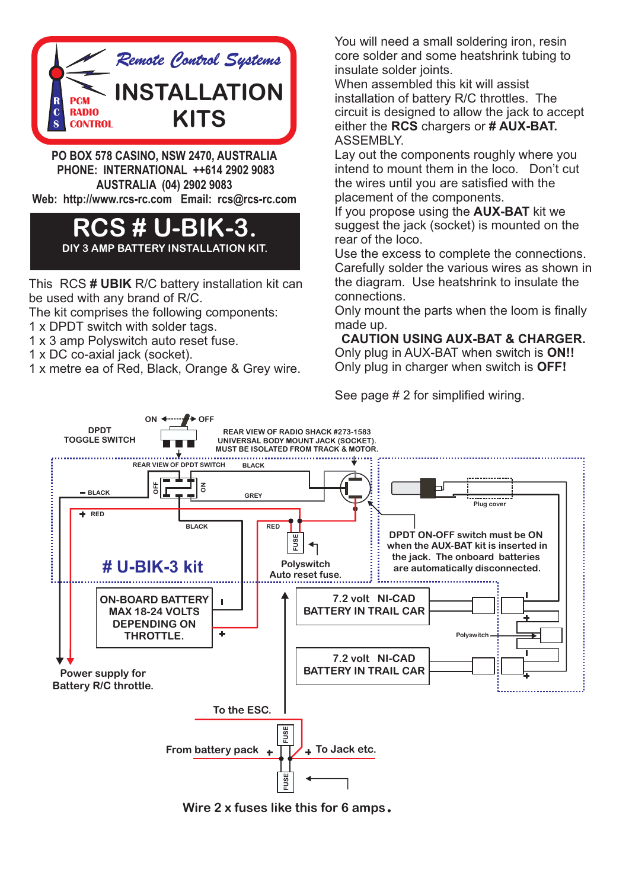

**PO BOX 578 CASINO, NSW 2470, AUSTRALIA PHONE: INTERNATIONAL ++614 2902 9083 AUSTRALIA (04) 2902 9083 Web: http://www.rcs-rc.com Email: rcs@rcs-rc.com**

## **RCS # U-BIK-3.**

**DIY 3 AMP BATTERY INSTALLATION KIT.**

This RCS **# UBIK** R/C battery installation kit can be used with any brand of R/C.

The kit comprises the following components:

- 1 x DPDT switch with solder tags.
- 1 x 3 amp Polyswitch auto reset fuse.
- 1 x DC co-axial jack (socket).
- 1 x metre ea of Red, Black, Orange & Grey wire.

You will need a small soldering iron, resin core solder and some heatshrink tubing to insulate solder joints.

When assembled this kit will assist installation of battery R/C throttles. The circuit is designed to allow the jack to accept either the **RCS** chargers or **# AUX-BAT.**  ASSEMBLY.

Lay out the components roughly where you intend to mount them in the loco. Don't cut the wires until you are satisfied with the placement of the components.

If you propose using the **AUX-BAT** kit we suggest the jack (socket) is mounted on the rear of the loco.

Use the excess to complete the connections. Carefully solder the various wires as shown in the diagram. Use heatshrink to insulate the connections.

Only mount the parts when the loom is finally made up.

**CAUTION USING AUX-BAT & CHARGER.** Only plug in AUX-BAT when switch is **ON!!** Only plug in charger when switch is **OFF!**

See page # 2 for simplified wiring.



**Wire 2 x fuses like this for 6 amps**.